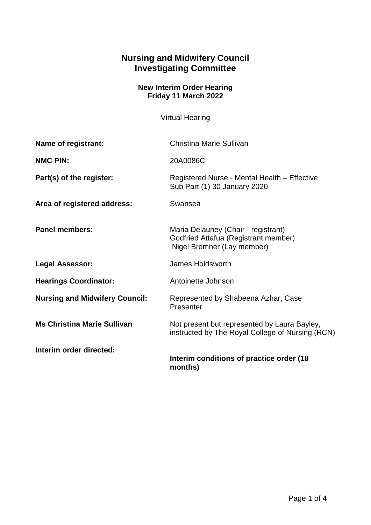## **Nursing and Midwifery Council Investigating Committee**

## **New Interim Order Hearing Friday 11 March 2022**

Virtual Hearing

| Name of registrant:                   | Christina Marie Sullivan                                                                                  |
|---------------------------------------|-----------------------------------------------------------------------------------------------------------|
| <b>NMC PIN:</b>                       | 20A0086C                                                                                                  |
| Part(s) of the register:              | Registered Nurse - Mental Health - Effective<br>Sub Part (1) 30 January 2020                              |
| Area of registered address:           | Swansea                                                                                                   |
| <b>Panel members:</b>                 | Maria Delauney (Chair - registrant)<br>Godfried Attafua (Registrant member)<br>Nigel Bremner (Lay member) |
| <b>Legal Assessor:</b>                | James Holdsworth                                                                                          |
| <b>Hearings Coordinator:</b>          | Antoinette Johnson                                                                                        |
| <b>Nursing and Midwifery Council:</b> | Represented by Shabeena Azhar, Case<br>Presenter                                                          |
| <b>Ms Christina Marie Sullivan</b>    | Not present but represented by Laura Bayley,<br>instructed by The Royal College of Nursing (RCN)          |
| Interim order directed:               | Interim conditions of practice order (18<br>months)                                                       |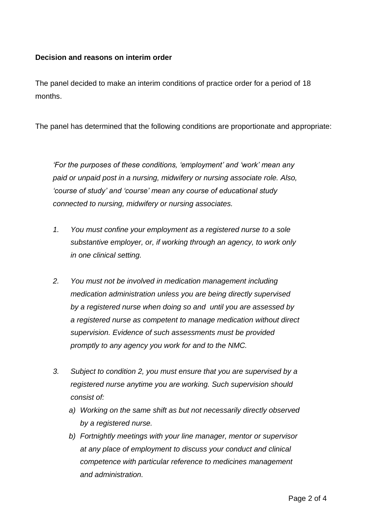## **Decision and reasons on interim order**

The panel decided to make an interim conditions of practice order for a period of 18 months.

The panel has determined that the following conditions are proportionate and appropriate:

*'For the purposes of these conditions, 'employment' and 'work' mean any paid or unpaid post in a nursing, midwifery or nursing associate role. Also, 'course of study' and 'course' mean any course of educational study connected to nursing, midwifery or nursing associates.*

- *1. You must confine your employment as a registered nurse to a sole substantive employer, or, if working through an agency, to work only in one clinical setting.*
- *2. You must not be involved in medication management including medication administration unless you are being directly supervised by a registered nurse when doing so and until you are assessed by a registered nurse as competent to manage medication without direct supervision. Evidence of such assessments must be provided promptly to any agency you work for and to the NMC.*
- *3. Subject to condition 2, you must ensure that you are supervised by a registered nurse anytime you are working. Such supervision should consist of:*
	- *a) Working on the same shift as but not necessarily directly observed by a registered nurse.*
	- *b) Fortnightly meetings with your line manager, mentor or supervisor at any place of employment to discuss your conduct and clinical competence with particular reference to medicines management and administration.*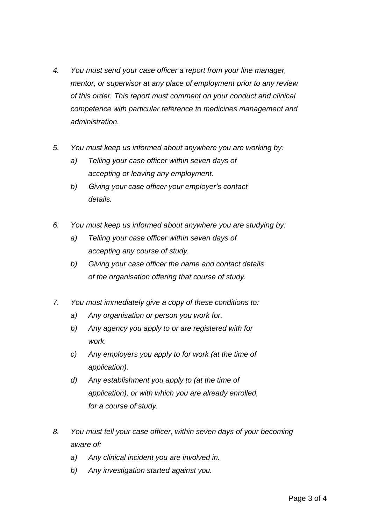- *4. You must send your case officer a report from your line manager, mentor, or supervisor at any place of employment prior to any review of this order. This report must comment on your conduct and clinical competence with particular reference to medicines management and administration.*
- *5. You must keep us informed about anywhere you are working by:* 
	- *a) Telling your case officer within seven days of accepting or leaving any employment.*
	- *b) Giving your case officer your employer's contact details.*
- *6. You must keep us informed about anywhere you are studying by:* 
	- *a) Telling your case officer within seven days of accepting any course of study.*
	- *b) Giving your case officer the name and contact details of the organisation offering that course of study.*
- *7. You must immediately give a copy of these conditions to:* 
	- *a) Any organisation or person you work for.*
	- *b) Any agency you apply to or are registered with for work.*
	- *c) Any employers you apply to for work (at the time of application).*
	- *d) Any establishment you apply to (at the time of application), or with which you are already enrolled, for a course of study.*
- *8. You must tell your case officer, within seven days of your becoming aware of:*
	- *a) Any clinical incident you are involved in.*
	- *b) Any investigation started against you.*